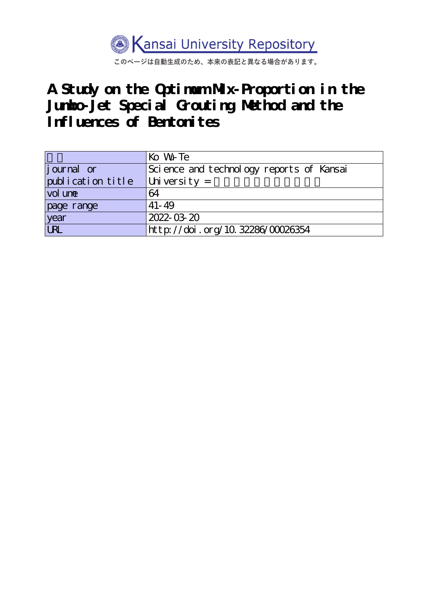

このページは自動生成のため、本来の表記と異なる場合があります。

# **A Study on the Optimum Mix-Proportion in the Jumbo-Jet Special Grouting Method and the Influences of Bentonites**

|                   | Ko W <sub>r</sub> Te                     |  |  |  |  |
|-------------------|------------------------------------------|--|--|--|--|
| journal or        | Science and technology reports of Kansai |  |  |  |  |
| publication title | University $=$                           |  |  |  |  |
| vol une           | 64                                       |  |  |  |  |
| page range        | $41 - 49$                                |  |  |  |  |
| year<br>URL       | 2022-03-20                               |  |  |  |  |
|                   | http://doi.org/10.32286/00026354         |  |  |  |  |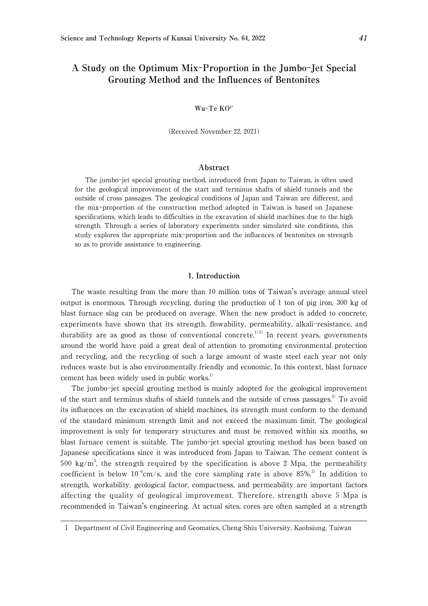# **A Study on the Optimum Mix**-**Proportion in the Jumbo**-**Jet Special Grouting Method and the Influences of Bentonites**

#### **Wu**-**Te KO**<sup>1</sup>**\***

(Received November 22, 2021)

#### **Abstract**

The jumbo-jet special grouting method, introduced from Japan to Taiwan, is often used for the geological improvement of the start and terminus shafts of shield tunnels and the outside of cross passages. The geological conditions of Japan and Taiwan are different, and the mix-proportion of the construction method adopted in Taiwan is based on Japanese specifications, which leads to difficulties in the excavation of shield machines due to the high strength. Through a series of laboratory experiments under simulated site conditions, this study explores the appropriate mix-proportion and the influences of bentonites on strength so as to provide assistance to engineering.

### 1**. Introduction**

The waste resulting from the more than 10 million tons of Taiwan's average annual steel output is enormous. Through recycling, during the production of 1 ton of pig iron, 300 kg of blast furnace slag can be produced on average. When the new product is added to concrete, experiments have shown that its strength, flowability, permeability, alkali-resistance, and durability are as good as those of conventional concrete.<sup>1)2)</sup> In recent years, governments around the world have paid a great deal of attention to promoting environmental protection and recycling, and the recycling of such a large amount of waste steel each year not only reduces waste but is also environmentally friendly and economic. In this context, blast furnace cement has been widely used in public works.<sup>1)</sup>

The jumbo-jet special grouting method is mainly adopted for the geological improvement of the start and terminus shafts of shield tunnels and the outside of cross passages.<sup>2)</sup> To avoid its influences on the excavation of shield machines, its strength must conform to the demand of the standard minimum strength limit and not exceed the maximum limit. The geological improvement is only for temporary structures and must be removed within six months, so blast furnace cement is suitable. The jumbo-jet special grouting method has been based on Japanese specifications since it was introduced from Japan to Taiwan. The cement content is 500 kg/m<sup>3</sup>, the strength required by the specification is above 2 Mpa, the permeability coefficient is below  $10^{-6}$ cm/s, and the core sampling rate is above 85%.<sup>3)</sup> In addition to strength, workability, geological factor, compactness, and permeability are important factors affecting the quality of geological improvement. Therefore, strength above 5 Mpa is recommended in Taiwan's engineering. At actual sites, cores are often sampled at a strength

<sup>1</sup> Department of Civil Engineering and Geomatics, Cheng Shiu University, Kaohsiung, Taiwan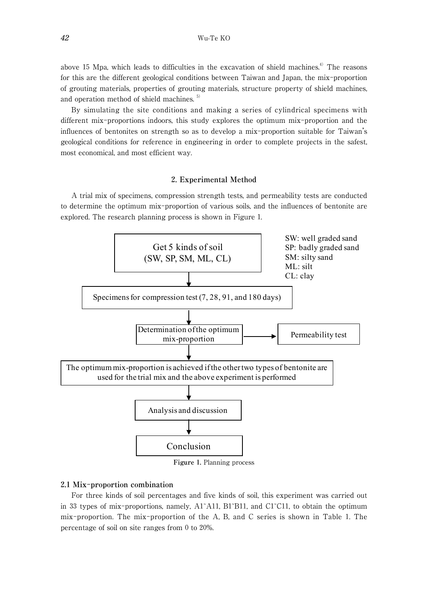above 15 Mpa, which leads to difficulties in the excavation of shield machines. $4$  The reasons for this are the different geological conditions between Taiwan and Japan, the mix-proportion of grouting materials, properties of grouting materials, structure property of shield machines, and operation method of shield machines. 5)

By simulating the site conditions and making a series of cylindrical specimens with different mix-proportions indoors, this study explores the optimum mix-proportion and the influences of bentonites on strength so as to develop a mix-proportion suitable for Taiwan's geological conditions for reference in engineering in order to complete projects in the safest, most economical, and most efficient way.

### 2**. Experimental Method**

A trial mix of specimens, compression strength tests, and permeability tests are conducted to determine the optimum mix-proportion of various soils, and the influences of bentonite are explored. The research planning process is shown in Figure 1.



**Figure** 1**.** Planning process

# 2**.**1 **Mix**-**proportion combination**

For three kinds of soil percentages and five kinds of soil, this experiment was carried out in 33 types of mix-proportions, namely, A1~A11, B1~B11, and C1~C11, to obtain the optimum mix-proportion. The mix-proportion of the A, B, and C series is shown in Table 1. The percentage of soil on site ranges from 0 to 20%.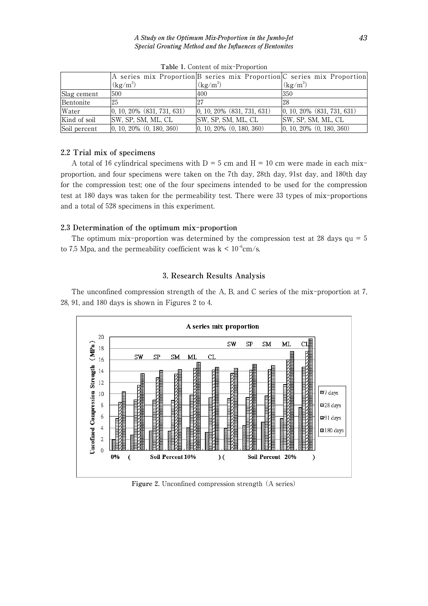|              |                                                 | A series mix Proportion B series mix Proportion C series mix Proportion |                                |
|--------------|-------------------------------------------------|-------------------------------------------------------------------------|--------------------------------|
|              | $(kg/m^3)$                                      | $(kg/m^3)$                                                              | $(kg/m^3)$                     |
| Slag cement  | 500                                             | 400                                                                     | 350                            |
| Bentonite    | 25                                              | 27                                                                      | 28                             |
| Water        | $\vert 0, 10, 20\% \vert (831, 731, 631) \vert$ | $\vert 0, 10, 20\% \vert (831, 731, 631) \vert$                         | $ 0, 10, 20\%$ (831, 731, 631) |
| Kind of soil | SW, SP, SM, ML, CL                              | SW, SP, SM, ML, CL                                                      | SW, SP, SM, ML, CL             |
| Soil percent | $ 0, 10, 20\%$ $(0, 180, 360)$                  | $ 0, 10, 20\%$ $(0, 180, 360)$                                          | $ 0, 10, 20\%$ $(0, 180, 360)$ |

**Table** 1**.** Content of mix-Proportion

# 2**.**2 **Trial mix of specimens**

A total of 16 cylindrical specimens with  $D = 5$  cm and  $H = 10$  cm were made in each mixproportion, and four specimens were taken on the 7th day, 28th day, 91st day, and 180th day for the compression test; one of the four specimens intended to be used for the compression test at 180 days was taken for the permeability test. There were 33 types of mix-proportions and a total of 528 specimens in this experiment.

# 2**.**3 **Determination of the optimum mix**-**proportion**

The optimum mix-proportion was determined by the compression test at 28 days  $qu = 5$ to 7.5 Mpa, and the permeability coefficient was  $k < 10^{-6}$ cm/s.

# 3**. Research Results Analysis**

The unconfined compression strength of the A, B, and C series of the mix-proportion at 7, 28, 91, and 180 days is shown in Figures 2 to 4.



**Figure** 2**.** Unconfined compression strength (A series)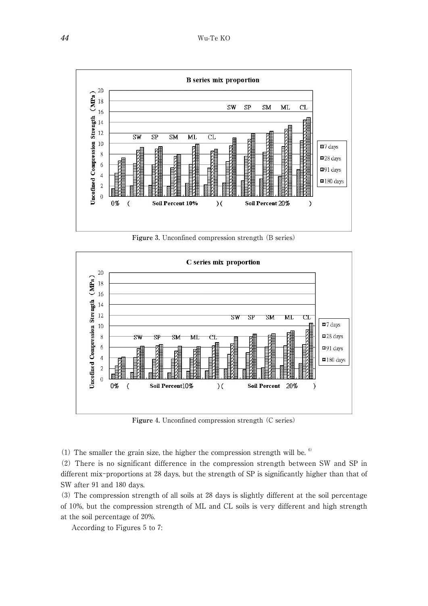

**Figure** 3**.** Unconfined compression strength (B series)



**Figure** 4**.** Unconfined compression strength (C series)

(1) The smaller the grain size, the higher the compression strength will be.  $\frac{6}{10}$ 

(2) There is no significant difference in the compression strength between SW and SP in different mix-proportions at 28 days, but the strength of SP is significantly higher than that of SW after 91 and 180 days.

(3) The compression strength of all soils at 28 days is slightly different at the soil percentage of 10%, but the compression strength of ML and CL soils is very different and high strength at the soil percentage of 20%.

According to Figures 5 to 7: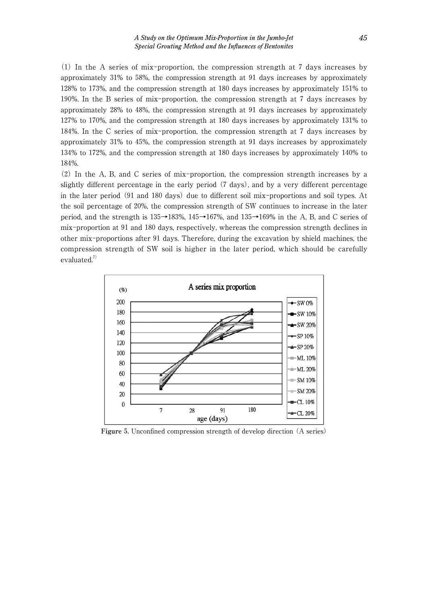(1) In the A series of mix-proportion, the compression strength at 7 days increases by approximately 31% to 58%, the compression strength at 91 days increases by approximately 128% to 173%, and the compression strength at 180 days increases by approximately 151% to 190%. In the B series of mix-proportion, the compression strength at 7 days increases by approximately 28% to 48%, the compression strength at 91 days increases by approximately 127% to 170%, and the compression strength at 180 days increases by approximately 131% to 184%. In the C series of mix-proportion, the compression strength at 7 days increases by approximately 31% to 45%, the compression strength at 91 days increases by approximately 134% to 172%, and the compression strength at 180 days increases by approximately 140% to 184%.

(2) In the A, B, and C series of mix-proportion, the compression strength increases by a slightly different percentage in the early period (7 days), and by a very different percentage in the later period (91 and 180 days) due to different soil mix-proportions and soil types. At the soil percentage of 20%, the compression strength of SW continues to increase in the later period, and the strength is 135→183%, 145→167%, and 135→169% in the A, B, and C series of mix-proportion at 91 and 180 days, respectively, whereas the compression strength declines in other mix-proportions after 91 days. Therefore, during the excavation by shield machines, the compression strength of SW soil is higher in the later period, which should be carefully evaluated. $7)$ 



**Figure** 5**.** Unconfined compression strength of develop direction (A series)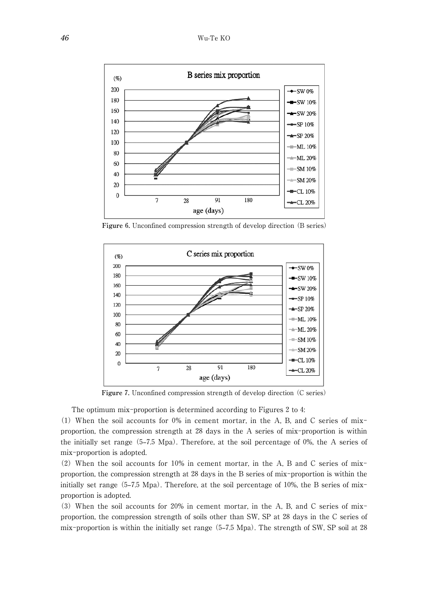

**Figure** 6**.** Unconfined compression strength of develop direction (B series)



**Figure** 7**.** Unconfined compression strength of develop direction (C series)

The optimum mix-proportion is determined according to Figures 2 to 4:

(1) When the soil accounts for 0% in cement mortar, in the A, B, and C series of mixproportion, the compression strength at 28 days in the A series of mix-proportion is within the initially set range (5–7.5 Mpa). Therefore, at the soil percentage of 0%, the A series of mix-proportion is adopted.

(2) When the soil accounts for 10% in cement mortar, in the A, B and C series of mixproportion, the compression strength at 28 days in the B series of mix-proportion is within the initially set range  $(5-7.5 \text{ Mpa})$ . Therefore, at the soil percentage of 10%, the B series of mixproportion is adopted.

(3) When the soil accounts for 20% in cement mortar, in the A, B, and C series of mixproportion, the compression strength of soils other than SW, SP at 28 days in the C series of mix-proportion is within the initially set range (5–7.5 Mpa). The strength of SW, SP soil at 28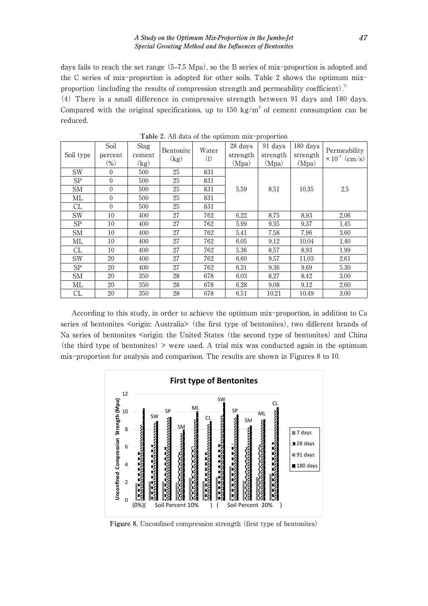days fails to reach the set range (5–7.5 Mpa), so the B series of mix-proportion is adopted and the C series of mix-proportion is adopted for other soils. Table 2 shows the optimum mixproportion (including the results of compression strength and permeability coefficient).<sup>7</sup>

(4) There is a small difference in compressive strength between 91 days and 180 days. Compared with the original specifications, up to 150 kg/m<sup>3</sup> of cement consumption can be reduced.

| Soil type | Soil<br>percent<br>(%) | Slag<br>cement<br>(kg) | Bentonite<br>(kg) | Water<br>(1) | 28 days<br>strength<br>(Mpa) | 91 days<br>strength<br>(Mpa) | 180 days<br>strength<br>(Mpa) | Permeability<br>$\times 10^{-7}$ (cm/s) |
|-----------|------------------------|------------------------|-------------------|--------------|------------------------------|------------------------------|-------------------------------|-----------------------------------------|
| <b>SW</b> | $\theta$               | 500                    | 25                | 831          | 5.59                         | 8.51                         | 10.35                         | 2.5                                     |
| <b>SP</b> | $\theta$               | 500                    | 25                | 831          |                              |                              |                               |                                         |
| <b>SM</b> | $\theta$               | 500                    | 25                | 831          |                              |                              |                               |                                         |
| ML        | $\theta$               | 500                    | 25                | 831          |                              |                              |                               |                                         |
| CL        | $\overline{0}$         | 500                    | 25                | 831          |                              |                              |                               |                                         |
| <b>SW</b> | 10                     | 400                    | 27                | 762          | 6.22                         | 8.75                         | 8.93                          | 2.06                                    |
| <b>SP</b> | 10                     | 400                    | 27                | 762          | 5.99                         | 9.35                         | 9.37                          | 1.45                                    |
| <b>SM</b> | 10                     | 400                    | 27                | 762          | 5.41                         | 7.58                         | 7.96                          | 3.60                                    |
| МL        | 10                     | 400                    | 27                | 762          | 6.05                         | 9.12                         | 10.04                         | 1.40                                    |
| CL        | 10                     | 400                    | 27                | 762          | 5.36                         | 8.57                         | 8.93                          | 1.99                                    |
| <b>SW</b> | 20                     | 400                    | 27                | 762          | 6.60                         | 9.57                         | 11.03                         | 2.61                                    |
| <b>SP</b> | 20                     | 400                    | 27                | 762          | 6.31                         | 9.36                         | 9.69                          | 5.30                                    |
| <b>SM</b> | 20                     | 350                    | 28                | 678          | 6.03                         | 8.27                         | 8.42                          | 3.00                                    |
| МL        | 20                     | 350                    | 28                | 678          | 6.28                         | 9.08                         | 9.12                          | 2.60                                    |
| CL        | 20                     | 350                    | 28                | 678          | 6.51                         | 10.21                        | 10.49                         | 3.00                                    |

**Table** 2**.** All data of the optimum mix-proportion

According to this study, in order to achieve the optimum mix-proportion, in addition to Ca series of bentonites <origin: Australia > (the first type of bentonites), two different brands of Na series of bentonites <origin: the United States (the second type of bentonites) and China (the third type of bentonites) > were used. A trial mix was conducted again in the optimum mix-proportion for analysis and comparison. The results are shown in Figures 8 to 10.



**Figure** 8**.** Unconfined compression strength (first type of bentonites)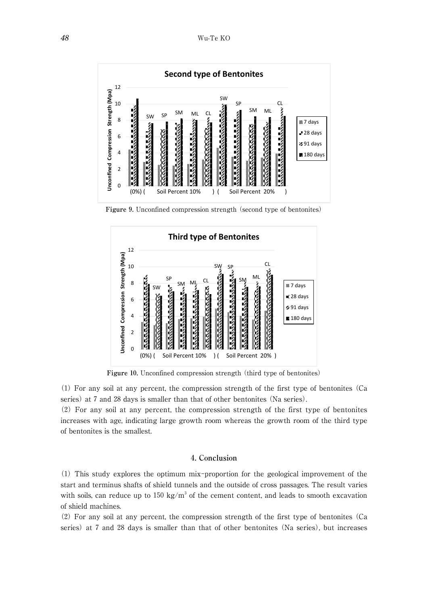

**Figure** 9**.** Unconfined compression strength (second type of bentonites)



**Figure** 10**.** Unconfined compression strength (third type of bentonites)

(1) For any soil at any percent, the compression strength of the first type of bentonites (Ca series) at 7 and 28 days is smaller than that of other bentonites (Na series).

(2) For any soil at any percent, the compression strength of the first type of bentonites increases with age, indicating large growth room whereas the growth room of the third type of bentonites is the smallest.

## 4**. Conclusion**

(1) This study explores the optimum mix-proportion for the geological improvement of the start and terminus shafts of shield tunnels and the outside of cross passages. The result varies with soils, can reduce up to 150 kg/ $m<sup>3</sup>$  of the cement content, and leads to smooth excavation of shield machines.

(2) For any soil at any percent, the compression strength of the first type of bentonites (Ca series) at 7 and 28 days is smaller than that of other bentonites (Na series), but increases